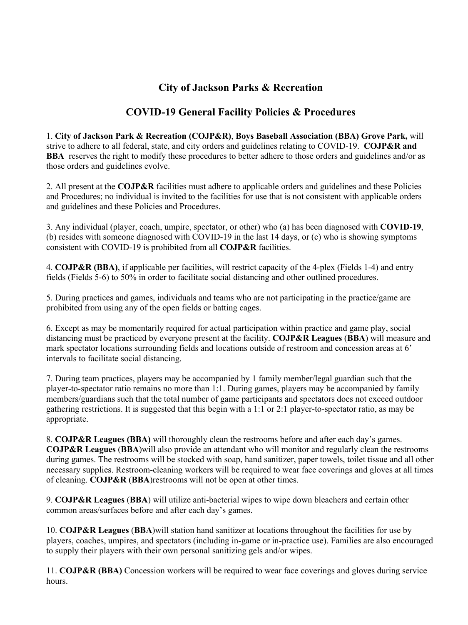## **City of Jackson Parks & Recreation**

## **COVID-19 General Facility Policies & Procedures**

1. **City of Jackson Park & Recreation (COJP&R)**, **Boys Baseball Association (BBA) Grove Park,** will strive to adhere to all federal, state, and city orders and guidelines relating to COVID-19. **COJP&R and BBA** reserves the right to modify these procedures to better adhere to those orders and guidelines and/or as those orders and guidelines evolve.

2. All present at the **COJP&R** facilities must adhere to applicable orders and guidelines and these Policies and Procedures; no individual is invited to the facilities for use that is not consistent with applicable orders and guidelines and these Policies and Procedures.

3. Any individual (player, coach, umpire, spectator, or other) who (a) has been diagnosed with **COVID-19**, (b) resides with someone diagnosed with COVID-19 in the last 14 days, or (c) who is showing symptoms consistent with COVID-19 is prohibited from all **COJP&R** facilities.

4. **COJP&R (BBA)**, if applicable per facilities, will restrict capacity of the 4-plex (Fields 1-4) and entry fields (Fields 5-6) to 50% in order to facilitate social distancing and other outlined procedures.

5. During practices and games, individuals and teams who are not participating in the practice/game are prohibited from using any of the open fields or batting cages.

6. Except as may be momentarily required for actual participation within practice and game play, social distancing must be practiced by everyone present at the facility. **COJP&R Leagues** (**BBA**) will measure and mark spectator locations surrounding fields and locations outside of restroom and concession areas at 6' intervals to facilitate social distancing.

7. During team practices, players may be accompanied by 1 family member/legal guardian such that the player-to-spectator ratio remains no more than 1:1. During games, players may be accompanied by family members/guardians such that the total number of game participants and spectators does not exceed outdoor gathering restrictions. It is suggested that this begin with a 1:1 or 2:1 player-to-spectator ratio, as may be appropriate.

8. **COJP&R Leagues (BBA)** will thoroughly clean the restrooms before and after each day's games. **COJP&R Leagues** (**BBA**)will also provide an attendant who will monitor and regularly clean the restrooms during games. The restrooms will be stocked with soap, hand sanitizer, paper towels, toilet tissue and all other necessary supplies. Restroom-cleaning workers will be required to wear face coverings and gloves at all times of cleaning. **COJP&R** (**BBA**)restrooms will not be open at other times.

9. **COJP&R Leagues** (**BBA**) will utilize anti-bacterial wipes to wipe down bleachers and certain other common areas/surfaces before and after each day's games.

10. **COJP&R Leagues** (**BBA**)will station hand sanitizer at locations throughout the facilities for use by players, coaches, umpires, and spectators (including in-game or in-practice use). Families are also encouraged to supply their players with their own personal sanitizing gels and/or wipes.

11. **COJP&R (BBA)** Concession workers will be required to wear face coverings and gloves during service hours.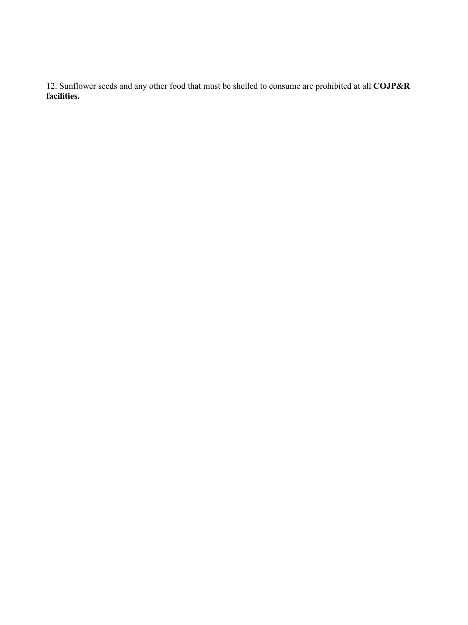12. Sunflower seeds and any other food that must be shelled to consume are prohibited at all **COJP&R facilities.**